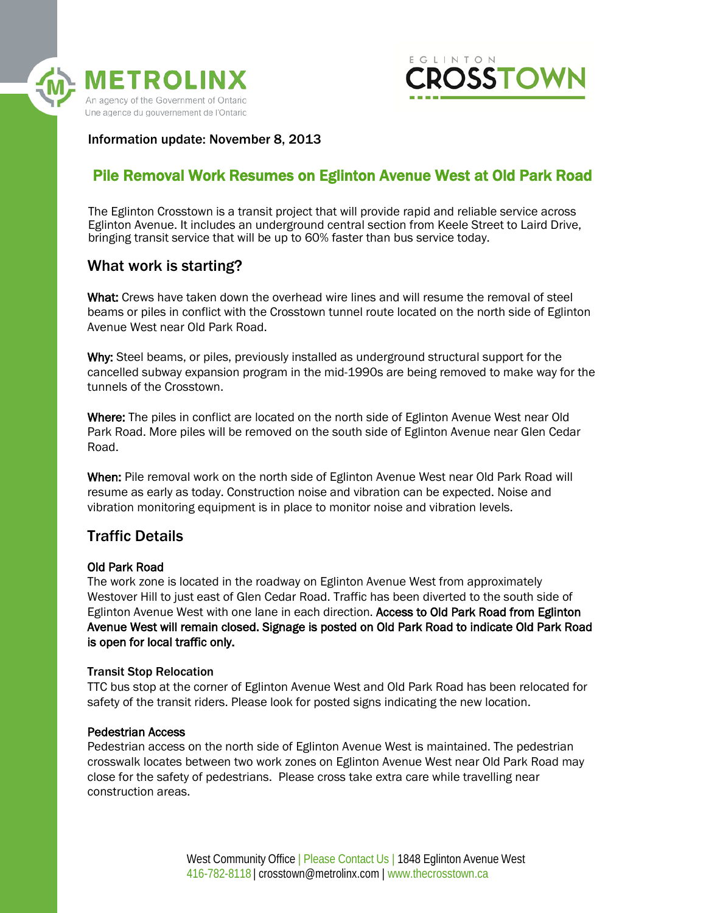



Information update: November 8, 2013

# Pile Removal Work Resumes on Eglinton Avenue West at Old Park Road

The Eglinton Crosstown is a transit project that will provide rapid and reliable service across Eglinton Avenue. It includes an underground central section from Keele Street to Laird Drive, bringing transit service that will be up to 60% faster than bus service today.

### What work is starting?

What: Crews have taken down the overhead wire lines and will resume the removal of steel beams or piles in conflict with the Crosstown tunnel route located on the north side of Eglinton Avenue West near Old Park Road.

Why: Steel beams, or piles, previously installed as underground structural support for the cancelled subway expansion program in the mid-1990s are being removed to make way for the tunnels of the Crosstown.

Where: The piles in conflict are located on the north side of Eglinton Avenue West near Old Park Road. More piles will be removed on the south side of Eglinton Avenue near Glen Cedar Road.

When: Pile removal work on the north side of Eglinton Avenue West near Old Park Road will resume as early as today. Construction noise and vibration can be expected. Noise and vibration monitoring equipment is in place to monitor noise and vibration levels.

### Traffic Details

#### Old Park Road

The work zone is located in the roadway on Eglinton Avenue West from approximately Westover Hill to just east of Glen Cedar Road. Traffic has been diverted to the south side of Eglinton Avenue West with one lane in each direction. Access to Old Park Road from Eglinton Avenue West will remain closed. Signage is posted on Old Park Road to indicate Old Park Road is open for local traffic only.

#### Transit Stop Relocation

TTC bus stop at the corner of Eglinton Avenue West and Old Park Road has been relocated for safety of the transit riders. Please look for posted signs indicating the new location.

#### Pedestrian Access

Pedestrian access on the north side of Eglinton Avenue West is maintained. The pedestrian crosswalk locates between two work zones on Eglinton Avenue West near Old Park Road may close for the safety of pedestrians. Please cross take extra care while travelling near construction areas.